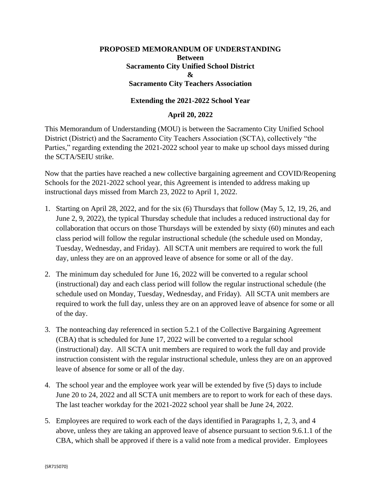# **PROPOSED MEMORANDUM OF UNDERSTANDING Between Sacramento City Unified School District & Sacramento City Teachers Association**

## **Extending the 2021-2022 School Year**

### **April 20, 2022**

This Memorandum of Understanding (MOU) is between the Sacramento City Unified School District (District) and the Sacramento City Teachers Association (SCTA), collectively "the Parties," regarding extending the 2021-2022 school year to make up school days missed during the SCTA/SEIU strike.

Now that the parties have reached a new collective bargaining agreement and COVID/Reopening Schools for the 2021-2022 school year, this Agreement is intended to address making up instructional days missed from March 23, 2022 to April 1, 2022.

- 1. Starting on April 28, 2022, and for the six (6) Thursdays that follow (May 5, 12, 19, 26, and June 2, 9, 2022), the typical Thursday schedule that includes a reduced instructional day for collaboration that occurs on those Thursdays will be extended by sixty (60) minutes and each class period will follow the regular instructional schedule (the schedule used on Monday, Tuesday, Wednesday, and Friday). All SCTA unit members are required to work the full day, unless they are on an approved leave of absence for some or all of the day.
- 2. The minimum day scheduled for June 16, 2022 will be converted to a regular school (instructional) day and each class period will follow the regular instructional schedule (the schedule used on Monday, Tuesday, Wednesday, and Friday). All SCTA unit members are required to work the full day, unless they are on an approved leave of absence for some or all of the day.
- 3. The nonteaching day referenced in section 5.2.1 of the Collective Bargaining Agreement (CBA) that is scheduled for June 17, 2022 will be converted to a regular school (instructional) day. All SCTA unit members are required to work the full day and provide instruction consistent with the regular instructional schedule, unless they are on an approved leave of absence for some or all of the day.
- 4. The school year and the employee work year will be extended by five (5) days to include June 20 to 24, 2022 and all SCTA unit members are to report to work for each of these days. The last teacher workday for the 2021-2022 school year shall be June 24, 2022.
- 5. Employees are required to work each of the days identified in Paragraphs 1, 2, 3, and 4 above, unless they are taking an approved leave of absence pursuant to section 9.6.1.1 of the CBA, which shall be approved if there is a valid note from a medical provider. Employees